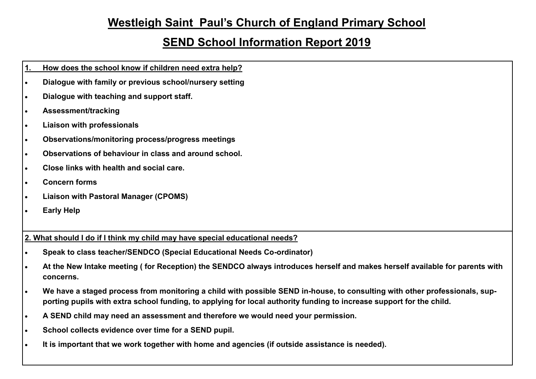## **Westleigh Saint Paul's Church of England Primary School**

## **SEND School Information Report 2019**

- **1. How does the school know if children need extra help?**
- **Dialogue with family or previous school/nursery setting**
- **Dialogue with teaching and support staff.**
- **Assessment/tracking**
- **Liaison with professionals**
- **Observations/monitoring process/progress meetings**
- **Observations of behaviour in class and around school.**
- **Close links with health and social care.**
- **Concern forms**
- **Liaison with Pastoral Manager (CPOMS)**
- **Early Help**

**2. What should I do if I think my child may have special educational needs?** 

- **Speak to class teacher/SENDCO (Special Educational Needs Co-ordinator)**
- **At the New Intake meeting ( for Reception) the SENDCO always introduces herself and makes herself available for parents with concerns.**
- **We have a staged process from monitoring a child with possible SEND in-house, to consulting with other professionals, supporting pupils with extra school funding, to applying for local authority funding to increase support for the child.**
- **A SEND child may need an assessment and therefore we would need your permission.**
- **School collects evidence over time for a SEND pupil.**
- **It is important that we work together with home and agencies (if outside assistance is needed).**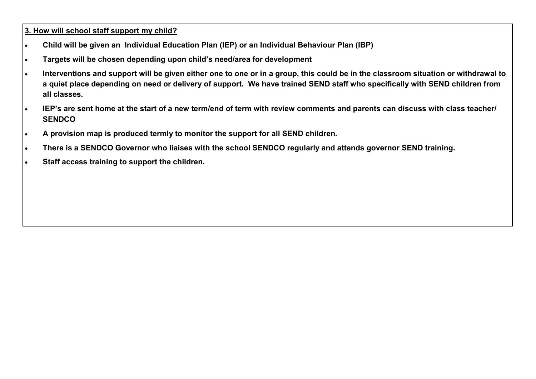**3. How will school staff support my child?** 

- **Child will be given an Individual Education Plan (IEP) or an Individual Behaviour Plan (IBP)**
- **Targets will be chosen depending upon child's need/area for development**
- **Interventions and support will be given either one to one or in a group, this could be in the classroom situation or withdrawal to a quiet place depending on need or delivery of support. We have trained SEND staff who specifically with SEND children from all classes.**
- **IEP's are sent home at the start of a new term/end of term with review comments and parents can discuss with class teacher/ SENDCO**
- **A provision map is produced termly to monitor the support for all SEND children.**
- **There is a SENDCO Governor who liaises with the school SENDCO regularly and attends governor SEND training.**
- **Staff access training to support the children.**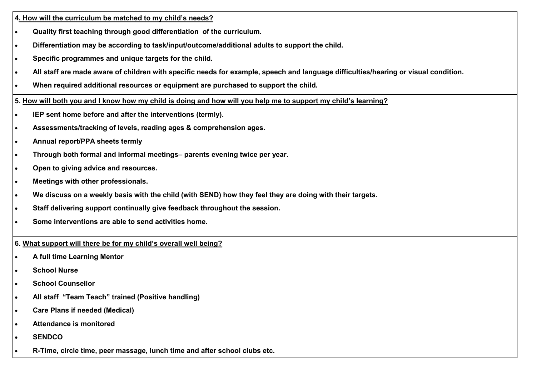**4. How will the curriculum be matched to my child's needs?** 

- **Quality first teaching through good differentiation of the curriculum.**
- **Differentiation may be according to task/input/outcome/additional adults to support the child.**
- **Specific programmes and unique targets for the child.**
- **All staff are made aware of children with specific needs for example, speech and language difficulties/hearing or visual condition.**
- **When required additional resources or equipment are purchased to support the child.**

**5. How will both you and I know how my child is doing and how will you help me to support my child's learning?** 

- **IEP sent home before and after the interventions (termly).**
- **Assessments/tracking of levels, reading ages & comprehension ages.**
- **Annual report/PPA sheets termly**
- **Through both formal and informal meetings– parents evening twice per year.**
- **Open to giving advice and resources.**
- **Meetings with other professionals.**
- **We discuss on a weekly basis with the child (with SEND) how they feel they are doing with their targets.**
- **Staff delivering support continually give feedback throughout the session.**
- **Some interventions are able to send activities home.**

**6. What support will there be for my child's overall well being?** 

- **A full time Learning Mentor**
- **School Nurse**
- **School Counsellor**
- **All staff "Team Teach" trained (Positive handling)**
- **Care Plans if needed (Medical)**
- **Attendance is monitored**
- **SENDCO**
- **R-Time, circle time, peer massage, lunch time and after school clubs etc.**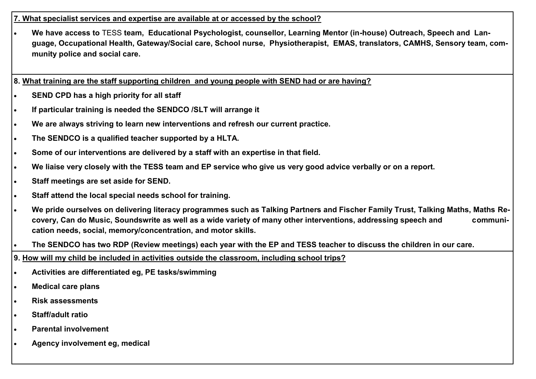## **7. What specialist services and expertise are available at or accessed by the school?**

 **We have access to** TESS **team, Educational Psychologist, counsellor, Learning Mentor (in-house) Outreach, Speech and Language, Occupational Health, Gateway/Social care, School nurse, Physiotherapist, EMAS, translators, CAMHS, Sensory team, community police and social care.**

**8. What training are the staff supporting children and young people with SEND had or are having?**

- **SEND CPD has a high priority for all staff**
- **If particular training is needed the SENDCO /SLT will arrange it**
- **We are always striving to learn new interventions and refresh our current practice.**
- **The SENDCO is a qualified teacher supported by a HLTA.**
- **Some of our interventions are delivered by a staff with an expertise in that field.**
- **We liaise very closely with the TESS team and EP service who give us very good advice verbally or on a report.**
- **Staff meetings are set aside for SEND.**
- **Staff attend the local special needs school for training.**
- **We pride ourselves on delivering literacy programmes such as Talking Partners and Fischer Family Trust, Talking Maths, Maths Recovery, Can do Music, Soundswrite as well as a wide variety of many other interventions, addressing speech and communication needs, social, memory/concentration, and motor skills.**
- **The SENDCO has two RDP (Review meetings) each year with the EP and TESS teacher to discuss the children in our care.**
- **9. How will my child be included in activities outside the classroom, including school trips?**
- **Activities are differentiated eg, PE tasks/swimming**
- **Medical care plans**
- **Risk assessments**
- **Staff/adult ratio**
- **Parental involvement**
- **Agency involvement eg, medical**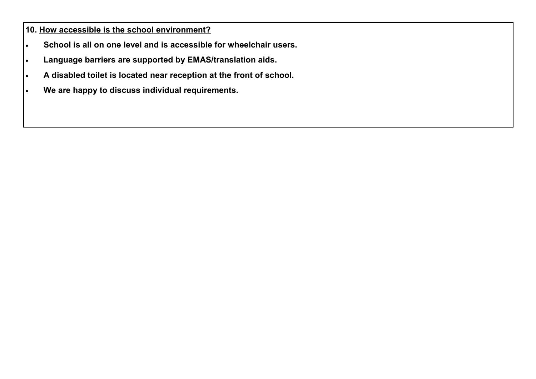**10. How accessible is the school environment?** 

- **School is all on one level and is accessible for wheelchair users.**
- **Language barriers are supported by EMAS/translation aids.**
- **A disabled toilet is located near reception at the front of school.**
- **We are happy to discuss individual requirements.**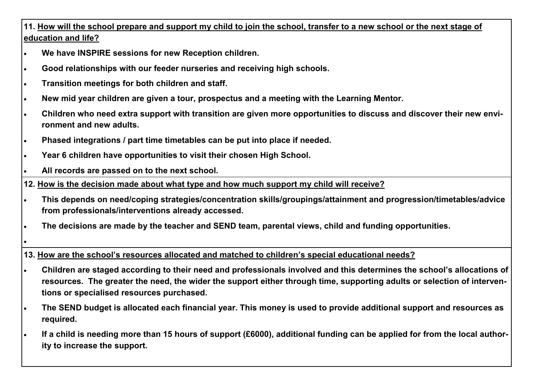**11. How will the school prepare and support my child to join the school, transfer to a new school or the next stage of education and life?**

- **We have INSPIRE sessions for new Reception children.**
- **Good relationships with our feeder nurseries and receiving high schools.**
- **Transition meetings for both children and staff.**
- **New mid year children are given a tour, prospectus and a meeting with the Learning Mentor.**
- **Children who need extra support with transition are given more opportunities to discuss and discover their new environment and new adults.**
- **Phased integrations / part time timetables can be put into place if needed.**
- **Year 6 children have opportunities to visit their chosen High School.**
- **All records are passed on to the next school.**

**12. How is the decision made about what type and how much support my child will receive?**

- **This depends on need/coping strategies/concentration skills/groupings/attainment and progression/timetables/advice from professionals/interventions already accessed.**
- **The decisions are made by the teacher and SEND team, parental views, child and funding opportunities.**
- $\bullet$

**13. How are the school's resources allocated and matched to children's special educational needs?**

- **Children are staged according to their need and professionals involved and this determines the school's allocations of resources. The greater the need, the wider the support either through time, supporting adults or selection of interventions or specialised resources purchased.**
- **The SEND budget is allocated each financial year. This money is used to provide additional support and resources as required.**
- **If a child is needing more than 15 hours of support (£6000), additional funding can be applied for from the local authority to increase the support.**